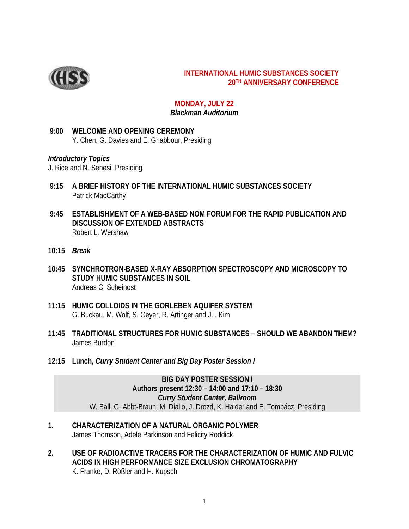

#### **INTERNATIONAL HUMIC SUBSTANCES SOCIETY 20TH ANNIVERSARY CONFERENCE**

#### **MONDAY, JULY 22** *Blackman Auditorium*

#### **9:00 WELCOME AND OPENING CEREMONY** Y. Chen, G. Davies and E. Ghabbour, Presiding

#### *Introductory Topics*

J. Rice and N. Senesi, Presiding

- **9:15 A BRIEF HISTORY OF THE INTERNATIONAL HUMIC SUBSTANCES SOCIETY** Patrick MacCarthy
- **9:45 ESTABLISHMENT OF A WEB-BASED NOM FORUM FOR THE RAPID PUBLICATION AND DISCUSSION OF EXTENDED ABSTRACTS** Robert L. Wershaw
- **10:15** *Break*
- **10:45 SYNCHROTRON-BASED X-RAY ABSORPTION SPECTROSCOPY AND MICROSCOPY TO STUDY HUMIC SUBSTANCES IN SOIL** Andreas C. Scheinost
- **11:15 HUMIC COLLOIDS IN THE GORLEBEN AQUIFER SYSTEM** G. Buckau, M. Wolf, S. Geyer, R. Artinger and J.I. Kim
- **11:45 TRADITIONAL STRUCTURES FOR HUMIC SUBSTANCES SHOULD WE ABANDON THEM?** James Burdon
- **12:15 Lunch,** *Curry Student Center and Big Day Poster Session I*

**BIG DAY POSTER SESSION I Authors present 12:30 – 14:00 and 17:10 – 18:30** *Curry Student Center, Ballroom* W. Ball, G. Abbt-Braun, M. Diallo, J. Drozd, K. Haider and E. Tombácz, Presiding

- **1. CHARACTERIZATION OF A NATURAL ORGANIC POLYMER**  James Thomson, Adele Parkinson and Felicity Roddick
- **2. USE OF RADIOACTIVE TRACERS FOR THE CHARACTERIZATION OF HUMIC AND FULVIC ACIDS IN HIGH PERFORMANCE SIZE EXCLUSION CHROMATOGRAPHY** K. Franke, D. Rößler and H. Kupsch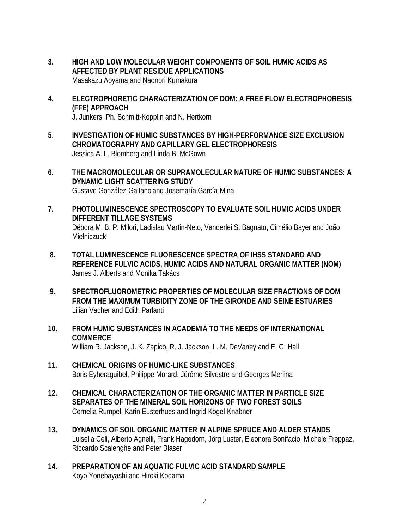- **3. HIGH AND LOW MOLECULAR WEIGHT COMPONENTS OF SOIL HUMIC ACIDS AS AFFECTED BY PLANT RESIDUE APPLICATIONS** Masakazu Aoyama and Naonori Kumakura
- **4. ELECTROPHORETIC CHARACTERIZATION OF DOM: A FREE FLOW ELECTROPHORESIS (FFE) APPROACH**

J. Junkers, Ph. Schmitt-Kopplin and N. Hertkorn

- **5**. **INVESTIGATION OF HUMIC SUBSTANCES BY HIGH-PERFORMANCE SIZE EXCLUSION CHROMATOGRAPHY AND CAPILLARY GEL ELECTROPHORESIS** Jessica A. L. Blomberg and Linda B. McGown
- **6. THE MACROMOLECULAR OR SUPRAMOLECULAR NATURE OF HUMIC SUBSTANCES: A DYNAMIC LIGHT SCATTERING STUDY** Gustavo González-Gaitano and Josemaría García-Mina
- **7. PHOTOLUMINESCENCE SPECTROSCOPY TO EVALUATE SOIL HUMIC ACIDS UNDER DIFFERENT TILLAGE SYSTEMS** Débora M. B. P. Milori, Ladislau Martin-Neto, Vanderlei S. Bagnato, Cimélio Bayer and João **Mielniczuck**
- **8. TOTAL LUMINESCENCE FLUORESCENCE SPECTRA OF IHSS STANDARD AND REFERENCE FULVIC ACIDS, HUMIC ACIDS AND NATURAL ORGANIC MATTER (NOM)** James J. Alberts and Monika Takács
- **9. SPECTROFLUOROMETRIC PROPERTIES OF MOLECULAR SIZE FRACTIONS OF DOM FROM THE MAXIMUM TURBIDITY ZONE OF THE GIRONDE AND SEINE ESTUARIES** Lilian Vacher and Edith Parlanti
- **10. FROM HUMIC SUBSTANCES IN ACADEMIA TO THE NEEDS OF INTERNATIONAL COMMERCE** William R. Jackson, J. K. Zapico, R. J. Jackson, L. M. DeVaney and E. G. Hall
- **11. CHEMICAL ORIGINS OF HUMIC-LIKE SUBSTANCES** Boris Eyheraguibel, Philippe Morard, Jérôme Silvestre and Georges Merlina
- **12. CHEMICAL CHARACTERIZATION OF THE ORGANIC MATTER IN PARTICLE SIZE SEPARATES OF THE MINERAL SOIL HORIZONS OF TWO FOREST SOILS** Cornelia Rumpel, Karin Eusterhues and Ingrid Kögel-Knabner
- **13. DYNAMICS OF SOIL ORGANIC MATTER IN ALPINE SPRUCE AND ALDER STANDS** Luisella Celi, Alberto Agnelli, Frank Hagedorn, Jörg Luster, Eleonora Bonifacio, Michele Freppaz, Riccardo Scalenghe and Peter Blaser
- **14. PREPARATION OF AN AQUATIC FULVIC ACID STANDARD SAMPLE**  Koyo Yonebayashi and Hiroki Kodama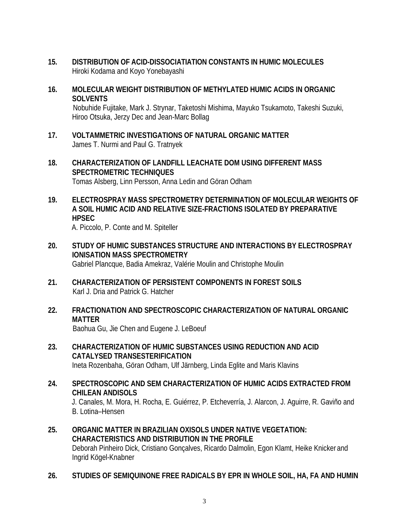- **15. DISTRIBUTION OF ACID-DISSOCIATIATION CONSTANTS IN HUMIC MOLECULES** Hiroki Kodama and Koyo Yonebayashi
- **16. MOLECULAR WEIGHT DISTRIBUTION OF METHYLATED HUMIC ACIDS IN ORGANIC SOLVENTS** Nobuhide Fujitake, Mark J. Strynar, Taketoshi Mishima, Mayuko Tsukamoto, Takeshi Suzuki, Hiroo Otsuka, Jerzy Dec and Jean-Marc Bollag
- **17. VOLTAMMETRIC INVESTIGATIONS OF NATURAL ORGANIC MATTER** James T. Nurmi and Paul G. Tratnyek
- **18. CHARACTERIZATION OF LANDFILL LEACHATE DOM USING DIFFERENT MASS SPECTROMETRIC TECHNIQUES** Tomas Alsberg, Linn Persson, Anna Ledin and Göran Odham
- **19. ELECTROSPRAY MASS SPECTROMETRY DETERMINATION OF MOLECULAR WEIGHTS OF A SOIL HUMIC ACID AND RELATIVE SIZE-FRACTIONS ISOLATED BY PREPARATIVE HPSEC**

A. Piccolo, P. Conte and M. Spiteller

- **20. STUDY OF HUMIC SUBSTANCES STRUCTURE AND INTERACTIONS BY ELECTROSPRAY IONISATION MASS SPECTROMETRY** Gabriel Plancque, Badia Amekraz, Valérie Moulin and Christophe Moulin
- **21. CHARACTERIZATION OF PERSISTENT COMPONENTS IN FOREST SOILS** Karl J. Dria and Patrick G. Hatcher
- **22. FRACTIONATION AND SPECTROSCOPIC CHARACTERIZATION OF NATURAL ORGANIC MATTER** Baohua Gu, Jie Chen and Eugene J. LeBoeuf
- **23. CHARACTERIZATION OF HUMIC SUBSTANCES USING REDUCTION AND ACID CATALYSED TRANSESTERIFICATION** Ineta Rozenbaha, Göran Odham, Ulf Järnberg, Linda Eglite and Maris Klavins
- **24. SPECTROSCOPIC AND SEM CHARACTERIZATION OF HUMIC ACIDS EXTRACTED FROM CHILEAN ANDISOLS** J. Canales, M. Mora, H. Rocha, E. Guiérrez, P. Etcheverría, J. Alarcon, J. Aguirre, R. Gaviño and B. Lotina–Hensen
- **25. ORGANIC MATTER IN BRAZILIAN OXISOLS UNDER NATIVE VEGETATION: CHARACTERISTICS AND DISTRIBUTION IN THE PROFILE**  Deborah Pinheiro Dick, Cristiano Gonçalves, Ricardo Dalmolin, Egon Klamt, Heike Knicker and Ingrid Kögel-Knabner
- **26. STUDIES OF SEMIQUINONE FREE RADICALS BY EPR IN WHOLE SOIL, HA, FA AND HUMIN**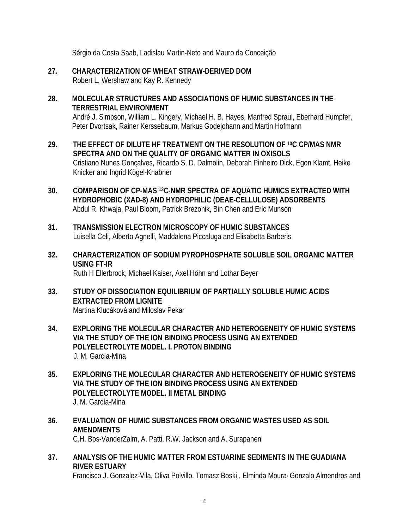Sérgio da Costa Saab, Ladislau Martin-Neto and Mauro da Conceição

- **27. CHARACTERIZATION OF WHEAT STRAW-DERIVED DOM** Robert L. Wershaw and Kay R. Kennedy
- **28. MOLECULAR STRUCTURES AND ASSOCIATIONS OF HUMIC SUBSTANCES IN THE TERRESTRIAL ENVIRONMENT** André J. Simpson, William L. Kingery, Michael H. B. Hayes, Manfred Spraul, Eberhard Humpfer, Peter Dvortsak, Rainer Kerssebaum, Markus Godejohann and Martin Hofmann
- **29. THE EFFECT OF DILUTE HF TREATMENT ON THE RESOLUTION OF 13C CP/MAS NMR SPECTRA AND ON THE QUALITY OF ORGANIC MATTER IN OXISOLS** Cristiano Nunes Gonçalves, Ricardo S. D. Dalmolin, Deborah Pinheiro Dick, Egon Klamt, Heike Knicker and Ingrid Kögel-Knabner
- **30. COMPARISON OF CP-MAS 13C-NMR SPECTRA OF AQUATIC HUMICS EXTRACTED WITH HYDROPHOBIC (XAD-8) AND HYDROPHILIC (DEAE-CELLULOSE) ADSORBENTS** Abdul R. Khwaja, Paul Bloom, Patrick Brezonik, Bin Chen and Eric Munson
- **31. TRANSMISSION ELECTRON MICROSCOPY OF HUMIC SUBSTANCES**  Luisella Celi, Alberto Agnelli, Maddalena Piccaluga and Elisabetta Barberis
- **32. CHARACTERIZATION OF SODIUM PYROPHOSPHATE SOLUBLE SOIL ORGANIC MATTER USING FT-IR** Ruth H Ellerbrock, Michael Kaiser, Axel Höhn and Lothar Beyer
- **33. STUDY OF DISSOCIATION EQUILIBRIUM OF PARTIALLY SOLUBLE HUMIC ACIDS EXTRACTED FROM LIGNITE** Martina Klucáková and Miloslav Pekar
- **34. EXPLORING THE MOLECULAR CHARACTER AND HETEROGENEITY OF HUMIC SYSTEMS VIA THE STUDY OF THE ION BINDING PROCESS USING AN EXTENDED POLYELECTROLYTE MODEL. I. PROTON BINDING** J. M. García-Mina
- **35. EXPLORING THE MOLECULAR CHARACTER AND HETEROGENEITY OF HUMIC SYSTEMS VIA THE STUDY OF THE ION BINDING PROCESS USING AN EXTENDED POLYELECTROLYTE MODEL. II METAL BINDING** J. M. García-Mina
- **36. EVALUATION OF HUMIC SUBSTANCES FROM ORGANIC WASTES USED AS SOIL AMENDMENTS**

C.H. Bos-VanderZalm, A. Patti, R.W. Jackson and A. Surapaneni

**37. ANALYSIS OF THE HUMIC MATTER FROM ESTUARINE SEDIMENTS IN THE GUADIANA RIVER ESTUARY**

Francisco J. Gonzalez-Vila, Oliva Polvillo, Tomasz Boski , Elminda Moura, Gonzalo Almendros and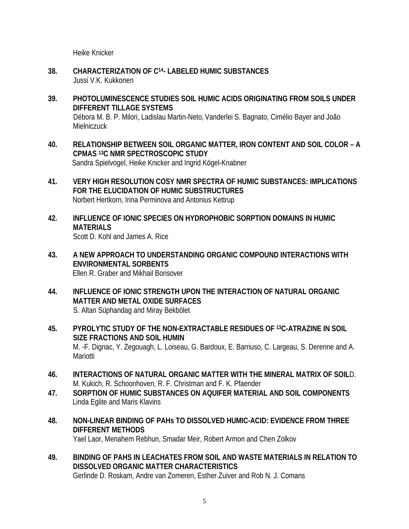Heike Knicker

- **38. CHARACTERIZATION OF C14 LABELED HUMIC SUBSTANCES** Jussi V.K. Kukkonen
- **39. PHOTOLUMINESCENCE STUDIES SOIL HUMIC ACIDS ORIGINATING FROM SOILS UNDER DIFFERENT TILLAGE SYSTEMS** Débora M. B. P. Milori, Ladislau Martin-Neto, Vanderlei S. Bagnato, Cimélio Bayer and João Mielniczuck
- **40. RELATIONSHIP BETWEEN SOIL ORGANIC MATTER, IRON CONTENT AND SOIL COLOR A CPMAS 13C NMR SPECTROSCOPIC STUDY** Sandra Spielvogel, Heike Knicker and Ingrid Kögel-Knabner
- **41. VERY HIGH RESOLUTION COSY NMR SPECTRA OF HUMIC SUBSTANCES: IMPLICATIONS FOR THE ELUCIDATION OF HUMIC SUBSTRUCTURES** Norbert Hertkorn, Irina Perminova and Antonius Kettrup
- **42. INFLUENCE OF IONIC SPECIES ON HYDROPHOBIC SORPTION DOMAINS IN HUMIC MATERIALS** Scott D. Kohl and James A. Rice
- **43. A NEW APPROACH TO UNDERSTANDING ORGANIC COMPOUND INTERACTIONS WITH ENVIRONMENTAL SORBENTS** Ellen R. Graber and Mikhail Borisover
- **44. INFLUENCE OF IONIC STRENGTH UPON THE INTERACTION OF NATURAL ORGANIC MATTER AND METAL OXIDE SURFACES** S. Altan Süphandag and Miray Bekbölet
- **45. PYROLYTIC STUDY OF THE NON-EXTRACTABLE RESIDUES OF 13C-ATRAZINE IN SOIL SIZE FRACTIONS AND SOIL HUMIN** M. -F. Dignac, Y. Zegouagh, L. Loiseau, G. Bardoux, E. Barriuso, C. Largeau, S. Derenne and A. **Mariotti**
- **46. INTERACTIONS OF NATURAL ORGANIC MATTER WITH THE MINERAL MATRIX OF SOIL**D. M. Kukich, R. Schoonhoven, R. F. Christman and F. K. Pfaender
- **47. SORPTION OF HUMIC SUBSTANCES ON AQUIFER MATERIAL AND SOIL COMPONENTS** Linda Eglite and Maris Klavins
- **48. NON-LINEAR BINDING OF PAHs TO DISSOLVED HUMIC-ACID: EVIDENCE FROM THREE DIFFERENT METHODS**

Yael Laor, Menahem Rebhun, Smadar Meir, Robert Armon and Chen Zolkov

**49. BINDING OF PAHS IN LEACHATES FROM SOIL AND WASTE MATERIALS IN RELATION TO DISSOLVED ORGANIC MATTER CHARACTERISTICS**

Gerlinde D. Roskam, Andre van Zomeren, Esther Zuiver and Rob N. J. Comans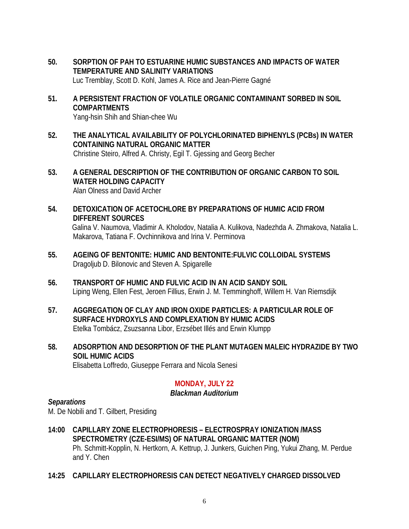- **50. SORPTION OF PAH TO ESTUARINE HUMIC SUBSTANCES AND IMPACTS OF WATER TEMPERATURE AND SALINITY VARIATIONS** Luc Tremblay, Scott D. Kohl, James A. Rice and Jean-Pierre Gagné
- **51. A PERSISTENT FRACTION OF VOLATILE ORGANIC CONTAMINANT SORBED IN SOIL COMPARTMENTS** Yang-hsin Shih and Shian-chee Wu
- **52. THE ANALYTICAL AVAILABILITY OF POLYCHLORINATED BIPHENYLS (PCBs) IN WATER CONTAINING NATURAL ORGANIC MATTER** Christine Steiro, Alfred A. Christy, Egil T. Gjessing and Georg Becher
- **53. A GENERAL DESCRIPTION OF THE CONTRIBUTION OF ORGANIC CARBON TO SOIL WATER HOLDING CAPACITY** Alan Olness and David Archer
- **54. DETOXICATION OF ACETOCHLORE BY PREPARATIONS OF HUMIC ACID FROM DIFFERENT SOURCES**  Galina V. Naumova, Vladimir A. Kholodov, Natalia A. Kulikova, Nadezhda A. Zhmakova, Natalia L. Makarova, Tatiana F. Ovchinnikova and Irina V. Perminova
- **55. AGEING OF BENTONITE: HUMIC AND BENTONITE:FULVIC COLLOIDAL SYSTEMS** Dragoljub D. Bilonovic and Steven A. Spigarelle
- **56. TRANSPORT OF HUMIC AND FULVIC ACID IN AN ACID SANDY SOIL** Liping Weng, Ellen Fest, Jeroen Fillius, Erwin J. M. Temminghoff, Willem H. Van Riemsdijk
- **57. AGGREGATION OF CLAY AND IRON OXIDE PARTICLES: A PARTICULAR ROLE OF SURFACE HYDROXYLS AND COMPLEXATION BY HUMIC ACIDS** Etelka Tombácz, Zsuzsanna Libor, Erzsébet Illés and Erwin Klumpp
- **58. ADSORPTION AND DESORPTION OF THE PLANT MUTAGEN MALEIC HYDRAZIDE BY TWO SOIL HUMIC ACIDS**

Elisabetta Loffredo, Giuseppe Ferrara and Nicola Senesi

# **MONDAY, JULY 22**

#### *Blackman Auditorium*

# *Separations*

M. De Nobili and T. Gilbert, Presiding

**14:00 CAPILLARY ZONE ELECTROPHORESIS – ELECTROSPRAY IONIZATION /MASS SPECTROMETRY (CZE-ESI/MS) OF NATURAL ORGANIC MATTER (NOM)**  Ph. Schmitt-Kopplin, N. Hertkorn, A. Kettrup, J. Junkers, Guichen Ping, Yukui Zhang, M. Perdue and Y. Chen

# **14:25 CAPILLARY ELECTROPHORESIS CAN DETECT NEGATIVELY CHARGED DISSOLVED**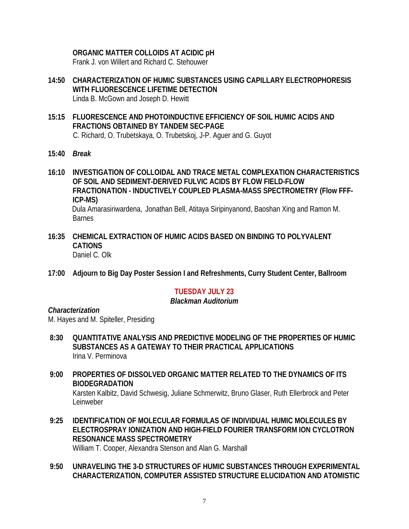# **ORGANIC MATTER COLLOIDS AT ACIDIC pH**

Frank J. von Willert and Richard C. Stehouwer

- **14:50 CHARACTERIZATION OF HUMIC SUBSTANCES USING CAPILLARY ELECTROPHORESIS WITH FLUORESCENCE LIFETIME DETECTION** Linda B. McGown and Joseph D. Hewitt
- **15:15 FLUORESCENCE AND PHOTOINDUCTIVE EFFICIENCY OF SOIL HUMIC ACIDS AND FRACTIONS OBTAINED BY TANDEM SEC-PAGE**

C. Richard, O. Trubetskaya, O. Trubetskoj, J-P. Aguer and G. Guyot

- **15:40** *Break*
- **16:10 INVESTIGATION OF COLLOIDAL AND TRACE METAL COMPLEXATION CHARACTERISTICS OF SOIL AND SEDIMENT-DERIVED FULVIC ACIDS BY FLOW FIELD-FLOW FRACTIONATION - INDUCTIVELY COUPLED PLASMA-MASS SPECTROMETRY (Flow FFF-ICP-MS)**

Dula Amarasiriwardena, Jonathan Bell, Atitaya Siripinyanond, Baoshan Xing and Ramon M. **Barnes** 

- **16:35 CHEMICAL EXTRACTION OF HUMIC ACIDS BASED ON BINDING TO POLYVALENT CATIONS** Daniel C. Olk
- **17:00 Adjourn to Big Day Poster Session I and Refreshments, Curry Student Center, Ballroom**

# **TUESDAY JULY 23**

# *Blackman Auditorium*

# *Characterization*

M. Hayes and M. Spiteller, Presiding

- **8:30 QUANTITATIVE ANALYSIS AND PREDICTIVE MODELING OF THE PROPERTIES OF HUMIC SUBSTANCES AS A GATEWAY TO THEIR PRACTICAL APPLICATIONS** Irina V. Perminova
- **9:00 PROPERTIES OF DISSOLVED ORGANIC MATTER RELATED TO THE DYNAMICS OF ITS BIODEGRADATION** Karsten Kalbitz, David Schwesig, Juliane Schmerwitz, Bruno Glaser, Ruth Ellerbrock and Peter Leinweber
- **9:25 IDENTIFICATION OF MOLECULAR FORMULAS OF INDIVIDUAL HUMIC MOLECULES BY ELECTROSPRAY IONIZATION AND HIGH-FIELD FOURIER TRANSFORM ION CYCLOTRON RESONANCE MASS SPECTROMETRY** William T. Cooper, Alexandra Stenson and Alan G. Marshall

#### **9:50 UNRAVELING THE 3-D STRUCTURES OF HUMIC SUBSTANCES THROUGH EXPERIMENTAL CHARACTERIZATION, COMPUTER ASSISTED STRUCTURE ELUCIDATION AND ATOMISTIC**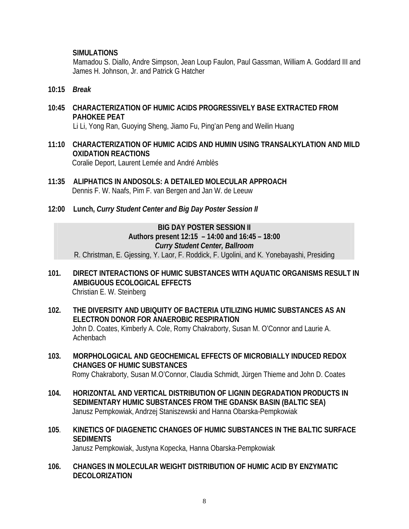# **SIMULATIONS**

Mamadou S. Diallo, Andre Simpson, Jean Loup Faulon, Paul Gassman, William A. Goddard III and James H. Johnson, Jr. and Patrick G Hatcher

- **10:15** *Break*
- **10:45 CHARACTERIZATION OF HUMIC ACIDS PROGRESSIVELY BASE EXTRACTED FROM PAHOKEE PEAT**

Li Li, Yong Ran, Guoying Sheng, Jiamo Fu, Ping'an Peng and Weilin Huang

**11:10 CHARACTERIZATION OF HUMIC ACIDS AND HUMIN USING TRANSALKYLATION AND MILD OXIDATION REACTIONS**

Coralie Deport, Laurent Lemée and André Amblès

- **11:35 ALIPHATICS IN ANDOSOLS: A DETAILED MOLECULAR APPROACH** Dennis F. W. Naafs, Pim F. van Bergen and Jan W. de Leeuw
- **12:00 Lunch,** *Curry Student Center and Big Day Poster Session II*

# **BIG DAY POSTER SESSION II Authors present 12:15 – 14:00 and 16:45 – 18:00** *Curry Student Center, Ballroom*

R. Christman, E. Gjessing, Y. Laor, F. Roddick, F. Ugolini, and K. Yonebayashi, Presiding

- **101. DIRECT INTERACTIONS OF HUMIC SUBSTANCES WITH AQUATIC ORGANISMS RESULT IN AMBIGUOUS ECOLOGICAL EFFECTS** Christian E. W. Steinberg
- **102. THE DIVERSITY AND UBIQUITY OF BACTERIA UTILIZING HUMIC SUBSTANCES AS AN ELECTRON DONOR FOR ANAEROBIC RESPIRATION** John D. Coates, Kimberly A. Cole, Romy Chakraborty, Susan M. O'Connor and Laurie A. Achenbach
- **103. MORPHOLOGICAL AND GEOCHEMICAL EFFECTS OF MICROBIALLY INDUCED REDOX CHANGES OF HUMIC SUBSTANCES** Romy Chakraborty, Susan M.O'Connor, Claudia Schmidt, Jürgen Thieme and John D. Coates
- **104. HORIZONTAL AND VERTICAL DISTRIBUTION OF LIGNIN DEGRADATION PRODUCTS IN SEDIMENTARY HUMIC SUBSTANCES FROM THE GDANSK BASIN (BALTIC SEA)** Janusz Pempkowiak, Andrzej Staniszewski and Hanna Obarska-Pempkowiak
- **105**. **KINETICS OF DIAGENETIC CHANGES OF HUMIC SUBSTANCES IN THE BALTIC SURFACE SEDIMENTS** Janusz Pempkowiak, Justyna Kopecka, Hanna Obarska-Pempkowiak
- **106. CHANGES IN MOLECULAR WEIGHT DISTRIBUTION OF HUMIC ACID BY ENZYMATIC DECOLORIZATION**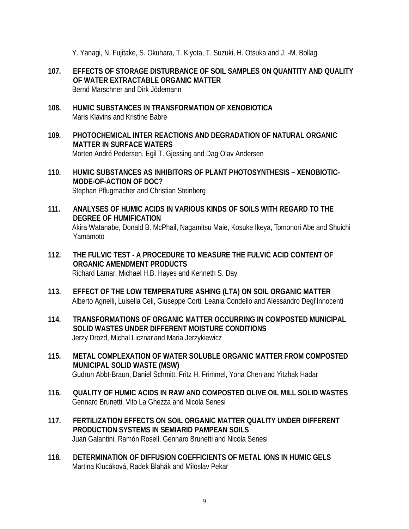Y. Yanagi, N. Fujitake, S. Okuhara, T. Kiyota, T. Suzuki, H. Otsuka and J. -M. Bollag

- **107. EFFECTS OF STORAGE DISTURBANCE OF SOIL SAMPLES ON QUANTITY AND QUALITY OF WATER EXTRACTABLE ORGANIC MATTER** Bernd Marschner and Dirk Jödemann
- **108. HUMIC SUBSTANCES IN TRANSFORMATION OF XENOBIOTICA** Maris Klavins and Kristine Babre
- **109. PHOTOCHEMICAL INTER REACTIONS AND DEGRADATION OF NATURAL ORGANIC MATTER IN SURFACE WATERS** Morten André Pedersen, Egil T. Gjessing and Dag Olav Andersen
- **110. HUMIC SUBSTANCES AS INHIBITORS OF PLANT PHOTOSYNTHESIS XENOBIOTIC-MODE-OF-ACTION OF DOC?** Stephan Pflugmacher and Christian Steinberg
- **111. ANALYSES OF HUMIC ACIDS IN VARIOUS KINDS OF SOILS WITH REGARD TO THE DEGREE OF HUMIFICATION**  Akira Watanabe, Donald B. McPhail, Nagamitsu Maie, Kosuke Ikeya, Tomonori Abe and Shuichi Yamamoto
- **112. THE FULVIC TEST A PROCEDURE TO MEASURE THE FULVIC ACID CONTENT OF ORGANIC AMENDMENT PRODUCTS** Richard Lamar, Michael H.B. Hayes and Kenneth S. Day
- **113. EFFECT OF THE LOW TEMPERATURE ASHING (LTA) ON SOIL ORGANIC MATTER**  Alberto Agnelli, Luisella Celi, Giuseppe Corti, Leania Condello and Alessandro Degl'Innocenti
- **114. TRANSFORMATIONS OF ORGANIC MATTER OCCURRING IN COMPOSTED MUNICIPAL SOLID WASTES UNDER DIFFERENT MOISTURE CONDITIONS**  Jerzy Drozd, Michal Licznar and Maria Jerzykiewicz
- **115. METAL COMPLEXATION OF WATER SOLUBLE ORGANIC MATTER FROM COMPOSTED MUNICIPAL SOLID WASTE (MSW)** Gudrun Abbt-Braun, Daniel Schmitt, Fritz H. Frimmel, Yona Chen and Yitzhak Hadar
- **116. QUALITY OF HUMIC ACIDS IN RAW AND COMPOSTED OLIVE OIL MILL SOLID WASTES** Gennaro Brunetti, Vito La Ghezza and Nicola Senesi
- **117. FERTILIZATION EFFECTS ON SOIL ORGANIC MATTER QUALITY UNDER DIFFERENT PRODUCTION SYSTEMS IN SEMIARID PAMPEAN SOILS** Juan Galantini, Ramón Rosell, Gennaro Brunetti and Nicola Senesi
- **118. DETERMINATION OF DIFFUSION COEFFICIENTS OF METAL IONS IN HUMIC GELS** Martina Klucáková, Radek Blahák and Miloslav Pekar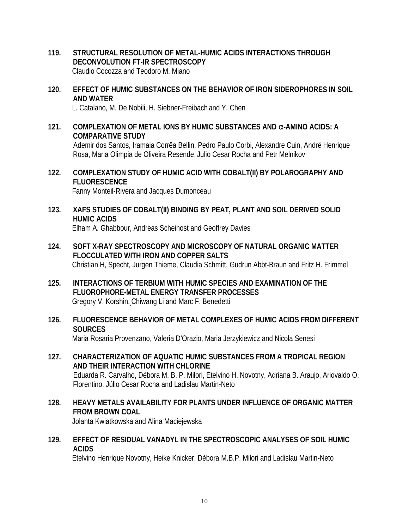- **119. STRUCTURAL RESOLUTION OF METAL-HUMIC ACIDS INTERACTIONS THROUGH DECONVOLUTION FT-IR SPECTROSCOPY** Claudio Cocozza and Teodoro M. Miano
- **120. EFFECT OF HUMIC SUBSTANCES ON THE BEHAVIOR OF IRON SIDEROPHORES IN SOIL AND WATER**

L. Catalano, M. De Nobili, H. Siebner-Freibach and Y. Chen

**121. COMPLEXATION OF METAL IONS BY HUMIC SUBSTANCES AND a-AMINO ACIDS: A COMPARATIVE STUDY**

Ademir dos Santos, Iramaia Corrêa Bellin, Pedro Paulo Corbi, Alexandre Cuin, André Henrique Rosa, Maria Olimpia de Oliveira Resende, Julio Cesar Rocha and Petr Melnikov

**122. COMPLEXATION STUDY OF HUMIC ACID WITH COBALT(II) BY POLAROGRAPHY AND FLUORESCENCE**

Fanny Monteil-Rivera and Jacques Dumonceau

**123. XAFS STUDIES OF COBALT(II) BINDING BY PEAT, PLANT AND SOIL DERIVED SOLID HUMIC ACIDS**

Elham A. Ghabbour, Andreas Scheinost and Geoffrey Davies

- **124. SOFT X-RAY SPECTROSCOPY AND MICROSCOPY OF NATURAL ORGANIC MATTER FLOCCULATED WITH IRON AND COPPER SALTS** Christian H, Specht, Jurgen Thieme, Claudia Schmitt, Gudrun Abbt-Braun and Fritz H. Frimmel
- **125. INTERACTIONS OF TERBIUM WITH HUMIC SPECIES AND EXAMINATION OF THE FLUOROPHORE-METAL ENERGY TRANSFER PROCESSES** Gregory V. Korshin, Chiwang Li and Marc F. Benedetti
- **126. FLUORESCENCE BEHAVIOR OF METAL COMPLEXES OF HUMIC ACIDS FROM DIFFERENT SOURCES**

Maria Rosaria Provenzano, Valeria D'Orazio, Maria Jerzykiewicz and Nicola Senesi

- **127. CHARACTERIZATION OF AQUATIC HUMIC SUBSTANCES FROM A TROPICAL REGION AND THEIR INTERACTION WITH CHLORINE** Eduarda R. Carvalho, Débora M. B. P. Milori, Etelvino H. Novotny, Adriana B. Araujo, Ariovaldo O. Florentino, Júlio Cesar Rocha and Ladislau Martin-Neto
- **128. HEAVY METALS AVAILABILITY FOR PLANTS UNDER INFLUENCE OF ORGANIC MATTER FROM BROWN COAL**

Jolanta Kwiatkowska and Alina Maciejewska

**129. EFFECT OF RESIDUAL VANADYL IN THE SPECTROSCOPIC ANALYSES OF SOIL HUMIC ACIDS**

Etelvino Henrique Novotny, Heike Knicker, Débora M.B.P. Milori and Ladislau Martin-Neto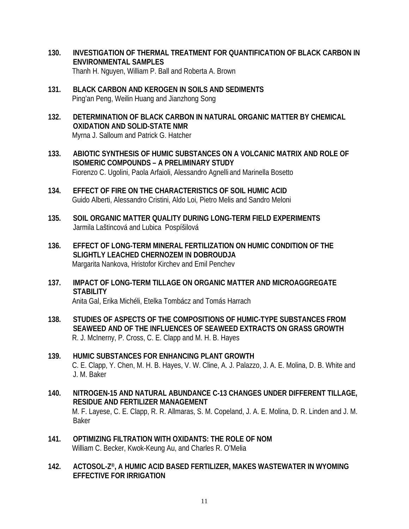- **130. INVESTIGATION OF THERMAL TREATMENT FOR QUANTIFICATION OF BLACK CARBON IN ENVIRONMENTAL SAMPLES** Thanh H. Nguyen, William P. Ball and Roberta A. Brown
- **131. BLACK CARBON AND KEROGEN IN SOILS AND SEDIMENTS** Ping'an Peng, Weilin Huang and Jianzhong Song
- **132. DETERMINATION OF BLACK CARBON IN NATURAL ORGANIC MATTER BY CHEMICAL OXIDATION AND SOLID-STATE NMR** Myrna J. Salloum and Patrick G. Hatcher
- **133. ABIOTIC SYNTHESIS OF HUMIC SUBSTANCES ON A VOLCANIC MATRIX AND ROLE OF ISOMERIC COMPOUNDS – A PRELIMINARY STUDY** Fiorenzo C. Ugolini, Paola Arfaioli, Alessandro Agnelli and Marinella Bosetto
- **134. EFFECT OF FIRE ON THE CHARACTERISTICS OF SOIL HUMIC ACID** Guido Alberti, Alessandro Cristini, Aldo Loi, Pietro Melis and Sandro Meloni
- **135. SOIL ORGANIC MATTER QUALITY DURING LONG-TERM FIELD EXPERIMENTS** Jarmila Laštincová and Lubica Pospíšilová
- **136. EFFECT OF LONG-TERM MINERAL FERTILIZATION ON HUMIC CONDITION OF THE SLIGHTLY LEACHED CHERNOZEM IN DOBROUDJA** Margarita Nankova, Hristofor Kirchev and Emil Penchev
- **137. IMPACT OF LONG-TERM TILLAGE ON ORGANIC MATTER AND MICROAGGREGATE STABILITY** Anita Gal, Erika Michéli, Etelka Tombácz and Tomás Harrach
- **138. STUDIES OF ASPECTS OF THE COMPOSITIONS OF HUMIC-TYPE SUBSTANCES FROM SEAWEED AND OF THE INFLUENCES OF SEAWEED EXTRACTS ON GRASS GROWTH** R. J. McInerny, P. Cross, C. E. Clapp and M. H. B. Hayes
- **139. HUMIC SUBSTANCES FOR ENHANCING PLANT GROWTH** C. E. Clapp, Y. Chen, M. H. B. Hayes, V. W. Cline, A. J. Palazzo, J. A. E. Molina, D. B. White and J. M. Baker
- **140. NITROGEN-15 AND NATURAL ABUNDANCE C-13 CHANGES UNDER DIFFERENT TILLAGE, RESIDUE AND FERTILIZER MANAGEMENT** M. F. Layese, C. E. Clapp, R. R. Allmaras, S. M. Copeland, J. A. E. Molina, D. R. Linden and J. M. Baker
- **141. OPTIMIZING FILTRATION WITH OXIDANTS: THE ROLE OF NOM** William C. Becker, Kwok-Keung Au, and Charles R. O'Melia
- **142. ACTOSOL-Z®, A HUMIC ACID BASED FERTILIZER, MAKES WASTEWATER IN WYOMING EFFECTIVE FOR IRRIGATION**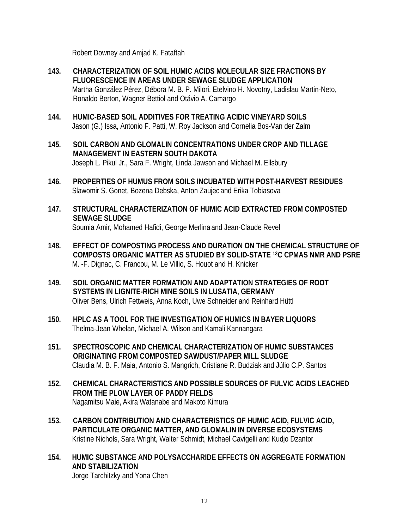Robert Downey and Amjad K. Fataftah

- **143. CHARACTERIZATION OF SOIL HUMIC ACIDS MOLECULAR SIZE FRACTIONS BY FLUORESCENCE IN AREAS UNDER SEWAGE SLUDGE APPLICATION** Martha González Pérez, Débora M. B. P. Milori, Etelvino H. Novotny, Ladislau Martin-Neto, Ronaldo Berton, Wagner Bettiol and Otávio A. Camargo
- **144. HUMIC-BASED SOIL ADDITIVES FOR TREATING ACIDIC VINEYARD SOILS** Jason (G.) Issa, Antonio F. Patti, W. Roy Jackson and Cornelia Bos-Van der Zalm
- **145. SOIL CARBON AND GLOMALIN CONCENTRATIONS UNDER CROP AND TILLAGE MANAGEMENT IN EASTERN SOUTH DAKOTA** Joseph L. Pikul Jr., Sara F. Wright, Linda Jawson and Michael M. Ellsbury
- **146. PROPERTIES OF HUMUS FROM SOILS INCUBATED WITH POST-HARVEST RESIDUES** Slawomir S. Gonet, Bozena Debska, Anton Zaujec and Erika Tobiasova
- **147. STRUCTURAL CHARACTERIZATION OF HUMIC ACID EXTRACTED FROM COMPOSTED SEWAGE SLUDGE** Soumia Amir, Mohamed Hafidi, George Merlina and Jean-Claude Revel
- **148. EFFECT OF COMPOSTING PROCESS AND DURATION ON THE CHEMICAL STRUCTURE OF COMPOSTS ORGANIC MATTER AS STUDIED BY SOLID-STATE 13C CPMAS NMR AND PSRE** M. -F. Dignac, C. Francou, M. Le Villio, S. Houot and H. Knicker
- **149. SOIL ORGANIC MATTER FORMATION AND ADAPTATION STRATEGIES OF ROOT SYSTEMS IN LIGNITE-RICH MINE SOILS IN LUSATIA, GERMANY** Oliver Bens, Ulrich Fettweis, Anna Koch, Uwe Schneider and Reinhard Hüttl
- **150. HPLC AS A TOOL FOR THE INVESTIGATION OF HUMICS IN BAYER LIQUORS** Thelma-Jean Whelan, Michael A. Wilson and Kamali Kannangara
- **151. SPECTROSCOPIC AND CHEMICAL CHARACTERIZATION OF HUMIC SUBSTANCES ORIGINATING FROM COMPOSTED SAWDUST/PAPER MILL SLUDGE**  Claudia M. B. F. Maia, Antonio S. Mangrich, Cristiane R. Budziak and Júlio C.P. Santos
- **152. CHEMICAL CHARACTERISTICS AND POSSIBLE SOURCES OF FULVIC ACIDS LEACHED FROM THE PLOW LAYER OF PADDY FIELDS** Nagamitsu Maie, Akira Watanabe and Makoto Kimura
- **153. CARBON CONTRIBUTION AND CHARACTERISTICS OF HUMIC ACID, FULVIC ACID, PARTICULATE ORGANIC MATTER, AND GLOMALIN IN DIVERSE ECOSYSTEMS**  Kristine Nichols, Sara Wright, Walter Schmidt, Michael Cavigelli and Kudjo Dzantor
- **154. HUMIC SUBSTANCE AND POLYSACCHARIDE EFFECTS ON AGGREGATE FORMATION AND STABILIZATION**

Jorge Tarchitzky and Yona Chen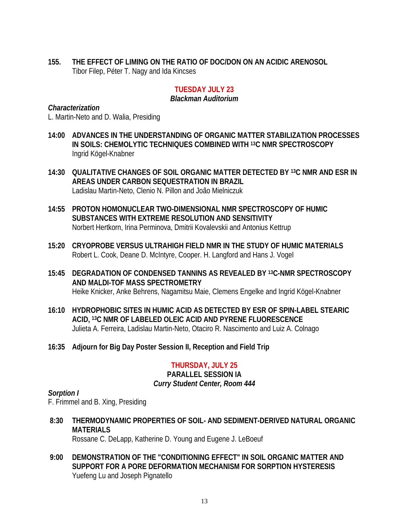**155. THE EFFECT OF LIMING ON THE RATIO OF DOC/DON ON AN ACIDIC ARENOSOL** Tibor Filep, Péter T. Nagy and Ida Kincses

# **TUESDAY JULY 23**

#### *Blackman Auditorium*

#### *Characterization*

L. Martin-Neto and D. Walia, Presiding

- **14:00 ADVANCES IN THE UNDERSTANDING OF ORGANIC MATTER STABILIZATION PROCESSES IN SOILS: CHEMOLYTIC TECHNIQUES COMBINED WITH 13C NMR SPECTROSCOPY**  Ingrid Kögel-Knabner
- **14:30 QUALITATIVE CHANGES OF SOIL ORGANIC MATTER DETECTED BY 13C NMR AND ESR IN AREAS UNDER CARBON SEQUESTRATION IN BRAZIL**  Ladislau Martin-Neto, Clenio N. Pillon and João Mielniczuk
- **14:55 PROTON HOMONUCLEAR TWO-DIMENSIONAL NMR SPECTROSCOPY OF HUMIC SUBSTANCES WITH EXTREME RESOLUTION AND SENSITIVITY** Norbert Hertkorn, Irina Perminova, Dmitrii Kovalevskii and Antonius Kettrup
- **15:20 CRYOPROBE VERSUS ULTRAHIGH FIELD NMR IN THE STUDY OF HUMIC MATERIALS** Robert L. Cook, Deane D. McIntyre, Cooper. H. Langford and Hans J. Vogel
- **15:45 DEGRADATION OF CONDENSED TANNINS AS REVEALED BY 13C-NMR SPECTROSCOPY AND MALDI-TOF MASS SPECTROMETRY** Heike Knicker, Anke Behrens, Nagamitsu Maie, Clemens Engelke and Ingrid Kögel-Knabner
- **16:10 HYDROPHOBIC SITES IN HUMIC ACID AS DETECTED BY ESR OF SPIN-LABEL STEARIC ACID, 13C NMR OF LABELED OLEIC ACID AND PYRENE FLUORESCENCE** Julieta A. Ferreira, Ladislau Martin-Neto, Otaciro R. Nascimento and Luiz A. Colnago
- **16:35 Adjourn for Big Day Poster Session II, Reception and Field Trip**

#### **THURSDAY, JULY 25 PARALLEL SESSION IA** *Curry Student Center, Room 444*

# *Sorption I*

F. Frimmel and B. Xing, Presiding

 **8:30 THERMODYNAMIC PROPERTIES OF SOIL- AND SEDIMENT-DERIVED NATURAL ORGANIC MATERIALS**

Rossane C. DeLapp, Katherine D. Young and Eugene J. LeBoeuf

**9:00 DEMONSTRATION OF THE "CONDITIONING EFFECT" IN SOIL ORGANIC MATTER AND SUPPORT FOR A PORE DEFORMATION MECHANISM FOR SORPTION HYSTERESIS** Yuefeng Lu and Joseph Pignatello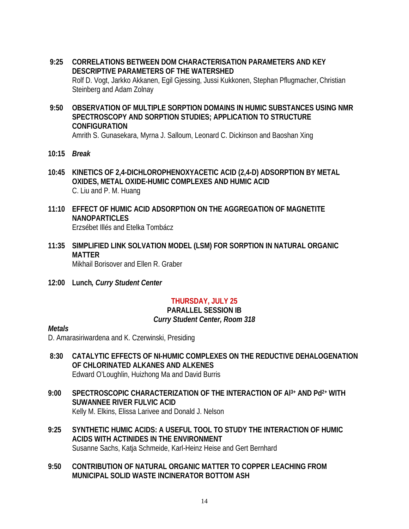- **9:25 CORRELATIONS BETWEEN DOM CHARACTERISATION PARAMETERS AND KEY DESCRIPTIVE PARAMETERS OF THE WATERSHED** Rolf D. Vogt, Jarkko Akkanen, Egil Gjessing, Jussi Kukkonen, Stephan Pflugmacher, Christian Steinberg and Adam Zolnay
- **9:50 OBSERVATION OF MULTIPLE SORPTION DOMAINS IN HUMIC SUBSTANCES USING NMR SPECTROSCOPY AND SORPTION STUDIES; APPLICATION TO STRUCTURE CONFIGURATION**

Amrith S. Gunasekara, Myrna J. Salloum, Leonard C. Dickinson and Baoshan Xing

- **10:15** *Break*
- **10:45 KINETICS OF 2,4-DICHLOROPHENOXYACETIC ACID (2,4-D) ADSORPTION BY METAL OXIDES, METAL OXIDE-HUMIC COMPLEXES AND HUMIC ACID**  C. Liu and P. M. Huang
- **11:10 EFFECT OF HUMIC ACID ADSORPTION ON THE AGGREGATION OF MAGNETITE NANOPARTICLES** Erzsébet Illés and Etelka Tombácz
- **11:35 SIMPLIFIED LINK SOLVATION MODEL (LSM) FOR SORPTION IN NATURAL ORGANIC MATTER** Mikhail Borisover and Ellen R. Graber
- **12:00 Lunch***, Curry Student Center*

# **THURSDAY, JULY 25**

#### **PARALLEL SESSION IB** *Curry Student Center, Room 318*

# *Metals*

D. Amarasiriwardena and K. Czerwinski, Presiding

- **8:30 CATALYTIC EFFECTS OF NI-HUMIC COMPLEXES ON THE REDUCTIVE DEHALOGENATION OF CHLORINATED ALKANES AND ALKENES** Edward O'Loughlin, Huizhong Ma and David Burris
- **9:00 SPECTROSCOPIC CHARACTERIZATION OF THE INTERACTION OF Al 3+ AND Pd2+ WITH SUWANNEE RIVER FULVIC ACID**  Kelly M. Elkins, Elissa Larivee and Donald J. Nelson
- **9:25 SYNTHETIC HUMIC ACIDS: A USEFUL TOOL TO STUDY THE INTERACTION OF HUMIC ACIDS WITH ACTINIDES IN THE ENVIRONMENT** Susanne Sachs, Katja Schmeide, Karl-Heinz Heise and Gert Bernhard
- **9:50 CONTRIBUTION OF NATURAL ORGANIC MATTER TO COPPER LEACHING FROM MUNICIPAL SOLID WASTE INCINERATOR BOTTOM ASH**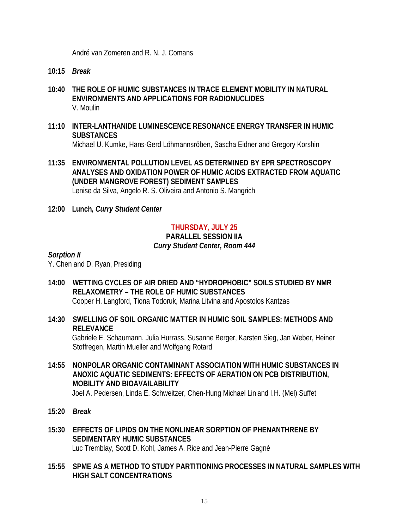André van Zomeren and R. N. J. Comans

- **10:15** *Break*
- **10:40 THE ROLE OF HUMIC SUBSTANCES IN TRACE ELEMENT MOBILITY IN NATURAL ENVIRONMENTS AND APPLICATIONS FOR RADIONUCLIDES** V. Moulin
- **11:10 INTER-LANTHANIDE LUMINESCENCE RESONANCE ENERGY TRANSFER IN HUMIC SUBSTANCES**

Michael U. Kumke, Hans-Gerd Löhmannsröben, Sascha Eidner and Gregory Korshin

**11:35 ENVIRONMENTAL POLLUTION LEVEL AS DETERMINED BY EPR SPECTROSCOPY ANALYSES AND OXIDATION POWER OF HUMIC ACIDS EXTRACTED FROM AQUATIC (UNDER MANGROVE FOREST) SEDIMENT SAMPLES** Lenise da Silva, Angelo R. S. Oliveira and Antonio S. Mangrich

**12:00 Lunch***, Curry Student Center*

# **THURSDAY, JULY 25**

# **PARALLEL SESSION IIA**

#### *Curry Student Center, Room 444*

#### *Sorption II*

Y. Chen and D. Ryan, Presiding

- **14:00 WETTING CYCLES OF AIR DRIED AND "HYDROPHOBIC" SOILS STUDIED BY NMR RELAXOMETRY – THE ROLE OF HUMIC SUBSTANCES** Cooper H. Langford, Tiona Todoruk, Marina Litvina and Apostolos Kantzas
- **14:30 SWELLING OF SOIL ORGANIC MATTER IN HUMIC SOIL SAMPLES: METHODS AND RELEVANCE**

Gabriele E. Schaumann, Julia Hurrass, Susanne Berger, Karsten Sieg, Jan Weber, Heiner Stoffregen, Martin Mueller and Wolfgang Rotard

**14:55 NONPOLAR ORGANIC CONTAMINANT ASSOCIATION WITH HUMIC SUBSTANCES IN ANOXIC AQUATIC SEDIMENTS: EFFECTS OF AERATION ON PCB DISTRIBUTION, MOBILITY AND BIOAVAILABILITY** 

Joel A. Pedersen, Linda E. Schweitzer, Chen-Hung Michael Lin and I.H. (Mel) Suffet

- **15:20** *Break*
- **15:30 EFFECTS OF LIPIDS ON THE NONLINEAR SORPTION OF PHENANTHRENE BY SEDIMENTARY HUMIC SUBSTANCES** Luc Tremblay, Scott D. Kohl, James A. Rice and Jean-Pierre Gagné
- **15:55 SPME AS A METHOD TO STUDY PARTITIONING PROCESSES IN NATURAL SAMPLES WITH HIGH SALT CONCENTRATIONS**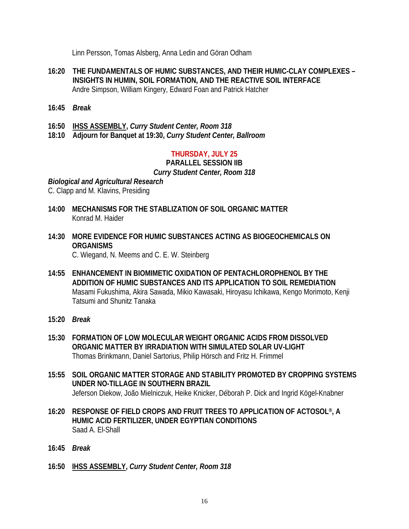Linn Persson, Tomas Alsberg, Anna Ledin and Göran Odham

- **16:20 THE FUNDAMENTALS OF HUMIC SUBSTANCES, AND THEIR HUMIC-CLAY COMPLEXES – INSIGHTS IN HUMIN, SOIL FORMATION, AND THE REACTIVE SOIL INTERFACE** Andre Simpson, William Kingery, Edward Foan and Patrick Hatcher
- **16:45** *Break*
- **16:50 IHSS ASSEMBLY,** *Curry Student Center, Room 318*
- **18:10 Adjourn for Banquet at 19:30,** *Curry Student Center, Ballroom*

#### **THURSDAY, JULY 25**

#### **PARALLEL SESSION IIB**

#### *Curry Student Center, Room 318*

#### *Biological and Agricultural Research*

C. Clapp and M. Klavins, Presiding

- **14:00 MECHANISMS FOR THE STABLIZATION OF SOIL ORGANIC MATTER** Konrad M. Haider
- **14:30 MORE EVIDENCE FOR HUMIC SUBSTANCES ACTING AS BIOGEOCHEMICALS ON ORGANISMS**

C. Wiegand, N. Meems and C. E. W. Steinberg

- **14:55 ENHANCEMENT IN BIOMIMETIC OXIDATION OF PENTACHLOROPHENOL BY THE ADDITION OF HUMIC SUBSTANCES AND ITS APPLICATION TO SOIL REMEDIATION** Masami Fukushima, Akira Sawada, Mikio Kawasaki, Hiroyasu Ichikawa, Kengo Morimoto, Kenji Tatsumi and Shunitz Tanaka
- **15:20** *Break*
- **15:30 FORMATION OF LOW MOLECULAR WEIGHT ORGANIC ACIDS FROM DISSOLVED ORGANIC MATTER BY IRRADIATION WITH SIMULATED SOLAR UV-LIGHT** Thomas Brinkmann, Daniel Sartorius, Philip Hörsch and Fritz H. Frimmel
- **15:55 SOIL ORGANIC MATTER STORAGE AND STABILITY PROMOTED BY CROPPING SYSTEMS UNDER NO-TILLAGE IN SOUTHERN BRAZIL** Jeferson Diekow, João Mielniczuk, Heike Knicker, Déborah P. Dick and Ingrid Kögel-Knabner
- **16:20 RESPONSE OF FIELD CROPS AND FRUIT TREES TO APPLICATION OF ACTOSOL®, A HUMIC ACID FERTILIZER, UNDER EGYPTIAN CONDITIONS** Saad A. El-Shall
- **16:45** *Break*
- **16:50 IHSS ASSEMBLY,** *Curry Student Center, Room 318*